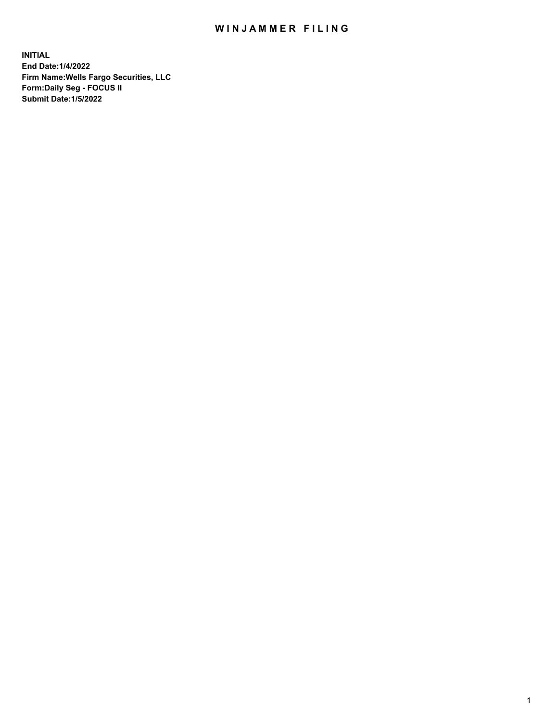## WIN JAMMER FILING

**INITIAL End Date:1/4/2022 Firm Name:Wells Fargo Securities, LLC Form:Daily Seg - FOCUS II Submit Date:1/5/2022**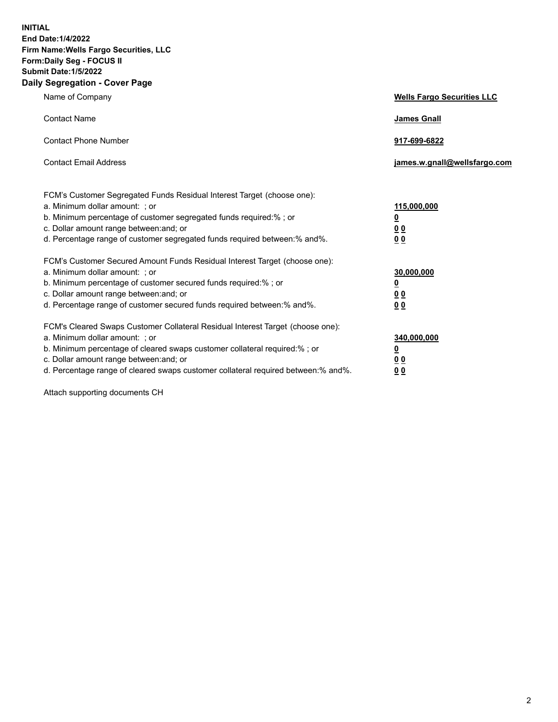**INITIAL End Date:1/4/2022 Firm Name:Wells Fargo Securities, LLC Form:Daily Seg - FOCUS II Submit Date:1/5/2022 Daily Segregation - Cover Page**

| Name of Company                                                                                                                                                                                                                                                                                                                | <b>Wells Fargo Securities LLC</b>              |
|--------------------------------------------------------------------------------------------------------------------------------------------------------------------------------------------------------------------------------------------------------------------------------------------------------------------------------|------------------------------------------------|
| <b>Contact Name</b>                                                                                                                                                                                                                                                                                                            | <b>James Gnall</b>                             |
| <b>Contact Phone Number</b>                                                                                                                                                                                                                                                                                                    | 917-699-6822                                   |
| <b>Contact Email Address</b>                                                                                                                                                                                                                                                                                                   | james.w.gnall@wellsfargo.com                   |
| FCM's Customer Segregated Funds Residual Interest Target (choose one):<br>a. Minimum dollar amount: ; or<br>b. Minimum percentage of customer segregated funds required:%; or<br>c. Dollar amount range between: and; or<br>d. Percentage range of customer segregated funds required between:% and%.                          | 115,000,000<br><u>0</u><br>0 Q<br>00           |
| FCM's Customer Secured Amount Funds Residual Interest Target (choose one):<br>a. Minimum dollar amount: ; or<br>b. Minimum percentage of customer secured funds required:%; or<br>c. Dollar amount range between: and; or<br>d. Percentage range of customer secured funds required between:% and%.                            | 30,000,000<br><u>0</u><br>00<br>0 <sub>0</sub> |
| FCM's Cleared Swaps Customer Collateral Residual Interest Target (choose one):<br>a. Minimum dollar amount: ; or<br>b. Minimum percentage of cleared swaps customer collateral required:% ; or<br>c. Dollar amount range between: and; or<br>d. Percentage range of cleared swaps customer collateral required between:% and%. | 340,000,000<br><u>0</u><br><u>00</u><br>00     |

Attach supporting documents CH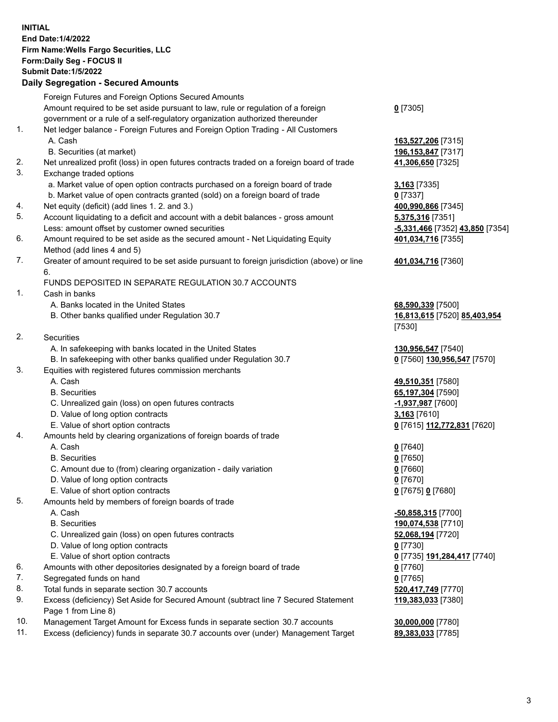**INITIAL End Date:1/4/2022 Firm Name:Wells Fargo Securities, LLC Form:Daily Seg - FOCUS II Submit Date:1/5/2022 Daily Segregation - Secured Amounts** Foreign Futures and Foreign Options Secured Amounts Amount required to be set aside pursuant to law, rule or regulation of a foreign government or a rule of a self-regulatory organization authorized thereunder **0** [7305] 1. Net ledger balance - Foreign Futures and Foreign Option Trading - All Customers A. Cash **163,527,206** [7315] B. Securities (at market) **196,153,847** [7317] 2. Net unrealized profit (loss) in open futures contracts traded on a foreign board of trade **41,306,650** [7325] 3. Exchange traded options a. Market value of open option contracts purchased on a foreign board of trade **3,163** [7335] b. Market value of open contracts granted (sold) on a foreign board of trade **0** [7337] 4. Net equity (deficit) (add lines 1. 2. and 3.) **400,990,866** [7345] 5. Account liquidating to a deficit and account with a debit balances - gross amount **5,375,316** [7351] Less: amount offset by customer owned securities **-5,331,466** [7352] **43,850** [7354] 6. Amount required to be set aside as the secured amount - Net Liquidating Equity Method (add lines 4 and 5) 7. Greater of amount required to be set aside pursuant to foreign jurisdiction (above) or line 6. FUNDS DEPOSITED IN SEPARATE REGULATION 30.7 ACCOUNTS 1. Cash in banks A. Banks located in the United States **68,590,339** [7500] B. Other banks qualified under Regulation 30.7 **16,813,615** [7520] **85,403,954** 2. Securities A. In safekeeping with banks located in the United States **130,956,547** [7540] B. In safekeeping with other banks qualified under Regulation 30.7 **0** [7560] **130,956,547** [7570] 3. Equities with registered futures commission merchants A. Cash **49,510,351** [7580] B. Securities **65,197,304** [7590] C. Unrealized gain (loss) on open futures contracts **-1,937,987** [7600] D. Value of long option contracts **3,163** [7610] E. Value of short option contracts **0** [7615] **112,772,831** [7620] 4. Amounts held by clearing organizations of foreign boards of trade A. Cash **0** [7640] B. Securities **0** [7650] C. Amount due to (from) clearing organization - daily variation **0** [7660] D. Value of long option contracts **0** [7670] E. Value of short option contracts **0** [7675] **0** [7680] 5. Amounts held by members of foreign boards of trade A. Cash **-50,858,315** [7700] B. Securities **190,074,538** [7710] C. Unrealized gain (loss) on open futures contracts **52,068,194** [7720] D. Value of long option contracts **0** [7730]

- E. Value of short option contracts **0** [7735] **191,284,417** [7740]
- 6. Amounts with other depositories designated by a foreign board of trade **0** [7760]
- 7. Segregated funds on hand **0** [7765]
- 8. Total funds in separate section 30.7 accounts **520,417,749** [7770]
- 9. Excess (deficiency) Set Aside for Secured Amount (subtract line 7 Secured Statement Page 1 from Line 8)
- 10. Management Target Amount for Excess funds in separate section 30.7 accounts **30,000,000** [7780]
- 11. Excess (deficiency) funds in separate 30.7 accounts over (under) Management Target **89,383,033** [7785]

**401,034,716** [7355] **401,034,716** [7360] [7530]

**119,383,033** [7380]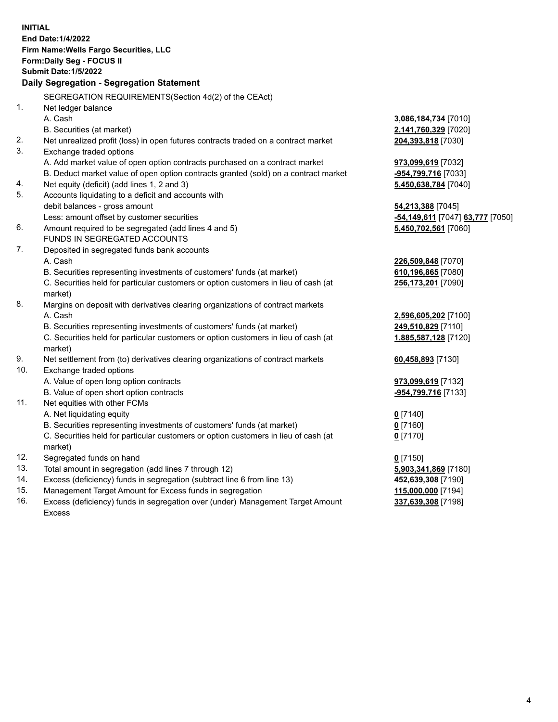|          | <b>INITIAL</b><br>End Date: 1/4/2022<br>Firm Name: Wells Fargo Securities, LLC<br>Form: Daily Seg - FOCUS II<br><b>Submit Date: 1/5/2022</b><br>Daily Segregation - Segregation Statement                                                                             |                                                                           |
|----------|-----------------------------------------------------------------------------------------------------------------------------------------------------------------------------------------------------------------------------------------------------------------------|---------------------------------------------------------------------------|
|          | SEGREGATION REQUIREMENTS(Section 4d(2) of the CEAct)                                                                                                                                                                                                                  |                                                                           |
| 1.       | Net ledger balance<br>A. Cash<br>B. Securities (at market)                                                                                                                                                                                                            | 3,086,184,734 [7010]<br>2,141,760,329 [7020]                              |
| 2.       | Net unrealized profit (loss) in open futures contracts traded on a contract market                                                                                                                                                                                    | 204,393,818 [7030]                                                        |
| 3.<br>4. | Exchange traded options<br>A. Add market value of open option contracts purchased on a contract market<br>B. Deduct market value of open option contracts granted (sold) on a contract market<br>Net equity (deficit) (add lines 1, 2 and 3)                          | 973,099,619 [7032]<br>-954,799,716 [7033]<br>5,450,638,784 [7040]         |
| 5.       | Accounts liquidating to a deficit and accounts with<br>debit balances - gross amount<br>Less: amount offset by customer securities                                                                                                                                    | 54,213,388 [7045]<br><mark>-54,149,611</mark> [7047] <b>63,777</b> [7050] |
| 6.       | Amount required to be segregated (add lines 4 and 5)<br>FUNDS IN SEGREGATED ACCOUNTS                                                                                                                                                                                  | 5,450,702,561 [7060]                                                      |
| 7.       | Deposited in segregated funds bank accounts<br>A. Cash<br>B. Securities representing investments of customers' funds (at market)<br>C. Securities held for particular customers or option customers in lieu of cash (at<br>market)                                    | 226,509,848 [7070]<br>610,196,865 [7080]<br>256,173,201 [7090]            |
| 8.       | Margins on deposit with derivatives clearing organizations of contract markets<br>A. Cash<br>B. Securities representing investments of customers' funds (at market)<br>C. Securities held for particular customers or option customers in lieu of cash (at<br>market) | 2,596,605,202 [7100]<br>249,510,829 [7110]<br>1,885,587,128 [7120]        |
| 9.       | Net settlement from (to) derivatives clearing organizations of contract markets                                                                                                                                                                                       | 60,458,893 [7130]                                                         |
| 10.      | Exchange traded options<br>A. Value of open long option contracts<br>B. Value of open short option contracts                                                                                                                                                          | 973,099,619 [7132]<br>-954,799,716 [7133]                                 |
| 11.      | Net equities with other FCMs<br>A. Net liquidating equity<br>B. Securities representing investments of customers' funds (at market)<br>C. Securities held for particular customers or option customers in lieu of cash (at<br>market)                                 | $0$ [7140]<br>$0$ [7160]<br>$0$ [7170]                                    |
| 12.      | Segregated funds on hand                                                                                                                                                                                                                                              | $0$ [7150]                                                                |
| 13.      | Total amount in segregation (add lines 7 through 12)                                                                                                                                                                                                                  | 5,903,341,869 [7180]                                                      |
| 14.      | Excess (deficiency) funds in segregation (subtract line 6 from line 13)                                                                                                                                                                                               | 452,639,308 [7190]                                                        |
| 15.      | Management Target Amount for Excess funds in segregation                                                                                                                                                                                                              | 115,000,000 [7194]                                                        |
| 16.      | Excess (deficiency) funds in segregation over (under) Management Target Amount<br>Excess                                                                                                                                                                              | 337,639,308 [7198]                                                        |